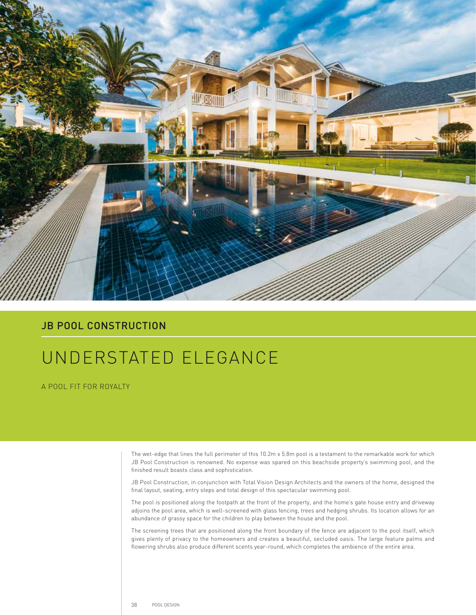

## JB POOL CONSTRUCTION

## UNDERSTATED ELEGANCE

A POOL FIT FOR ROYALTY

The wet-edge that lines the full perimeter of this 10.2m x 5.8m pool is a testament to the remarkable work for which JB Pool Construction is renowned. No expense was spared on this beachside property's swimming pool, and the finished result boasts class and sophistication.

JB Pool Construction, in conjunction with Total Vision Design Architects and the owners of the home, designed the final layout, seating, entry steps and total design of this spectacular swimming pool.

The pool is positioned along the footpath at the front of the property, and the home's gate house entry and driveway adjoins the pool area, which is well-screened with glass fencing, trees and hedging shrubs. Its location allows for an abundance of grassy space for the children to play between the house and the pool.

The screening trees that are positioned along the front boundary of the fence are adjacent to the pool itself, which gives plenty of privacy to the homeowners and creates a beautiful, secluded oasis. The large feature palms and flowering shrubs also produce different scents year-round, which completes the ambience of the entire area.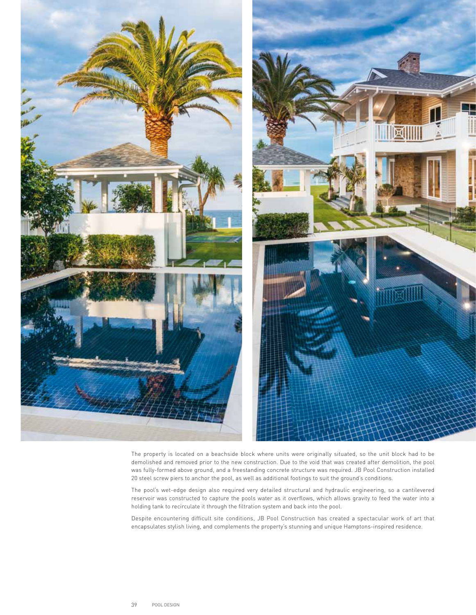

The property is located on a beachside block where units were originally situated, so the unit block had to be demolished and removed prior to the new construction. Due to the void that was created after demolition, the pool was fully-formed above ground, and a freestanding concrete structure was required. JB Pool Construction installed 20 steel screw piers to anchor the pool, as well as additional footings to suit the ground's conditions.

The pool's wet-edge design also required very detailed structural and hydraulic engineering, so a cantilevered reservoir was constructed to capture the pools water as it overflows, which allows gravity to feed the water into a holding tank to recirculate it through the filtration system and back into the pool.

Despite encountering difficult site conditions, JB Pool Construction has created a spectacular work of art that encapsulates stylish living, and complements the property's stunning and unique Hamptons-inspired residence.